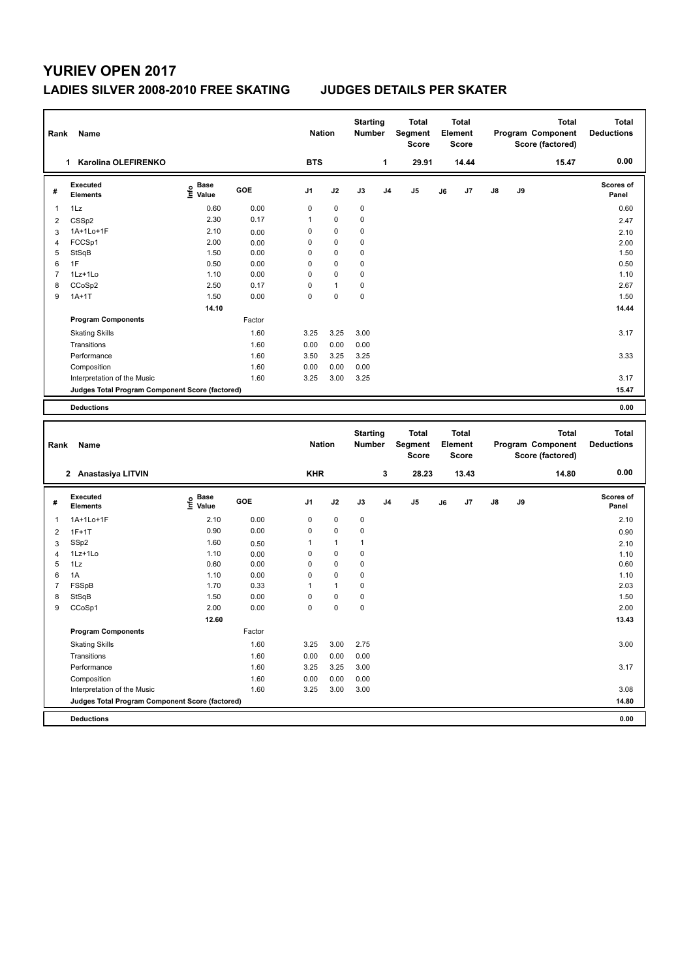# **YURIEV OPEN 2017**

## **LADIES SILVER 2008-2010 FREE SKATING JUDGES DETAILS PER SKATER**

| <b>BTS</b><br>$\mathbf{1}$<br>1 Karolina OLEFIRENKO<br>29.91<br>14.44<br><b>Executed</b><br>$\frac{6}{5}$ Base<br>$\frac{1}{5}$ Value<br>GOE<br>J3<br>J <sub>5</sub><br>J7<br>J8<br>J9<br>J1<br>J2<br>J <sub>4</sub><br>J6<br>#<br><b>Elements</b><br>0.60<br>0.00<br>$\mathbf 0$<br>$\mathbf 0$<br>$\mathbf 0$<br>$\mathbf{1}$<br>1Lz | 0.00<br><b>Scores of</b><br>Panel | 15.47        | Score (factored) | Element<br><b>Score</b> | <b>Total</b><br><b>Segment</b><br><b>Score</b> | <b>Starting</b><br><b>Number</b> |             | <b>Nation</b> |      |      | Name  | Rank |
|----------------------------------------------------------------------------------------------------------------------------------------------------------------------------------------------------------------------------------------------------------------------------------------------------------------------------------------|-----------------------------------|--------------|------------------|-------------------------|------------------------------------------------|----------------------------------|-------------|---------------|------|------|-------|------|
|                                                                                                                                                                                                                                                                                                                                        |                                   |              |                  |                         |                                                |                                  |             |               |      |      |       |      |
|                                                                                                                                                                                                                                                                                                                                        |                                   |              |                  |                         |                                                |                                  |             |               |      |      |       |      |
|                                                                                                                                                                                                                                                                                                                                        | 0.60                              |              |                  |                         |                                                |                                  |             |               |      |      |       |      |
| $\overline{2}$                                                                                                                                                                                                                                                                                                                         | 2.47                              |              |                  |                         |                                                | $\mathbf 0$                      | $\mathbf 0$ | 1             | 0.17 | 2.30 | CSSp2 |      |
| $\mathbf 0$<br>$\mathbf 0$<br>$\mathbf 0$<br>1A+1Lo+1F<br>2.10<br>3<br>0.00                                                                                                                                                                                                                                                            | 2.10                              |              |                  |                         |                                                |                                  |             |               |      |      |       |      |
| 2.00<br>$\mathbf 0$<br>FCCSp1<br>0<br>0<br>0.00<br>$\overline{4}$                                                                                                                                                                                                                                                                      | 2.00                              |              |                  |                         |                                                |                                  |             |               |      |      |       |      |
| 5<br>StSqB<br>1.50<br>0.00<br>$\mathbf 0$<br>$\mathbf 0$<br>$\mathbf 0$                                                                                                                                                                                                                                                                | 1.50                              |              |                  |                         |                                                |                                  |             |               |      |      |       |      |
| $\mathbf 0$<br>6<br>1F<br>$\mathbf 0$<br>$\mathbf 0$<br>0.50<br>0.00                                                                                                                                                                                                                                                                   | 0.50                              |              |                  |                         |                                                |                                  |             |               |      |      |       |      |
| 1.10<br>0.00<br>$\mathbf 0$<br>$\mathbf 0$<br>$\overline{7}$<br>1Lz+1Lo<br>0                                                                                                                                                                                                                                                           | 1.10                              |              |                  |                         |                                                |                                  |             |               |      |      |       |      |
| 2.50<br>$\mathbf 0$<br>$\mathbf 0$<br>8<br>0.17<br>CCoSp2<br>1                                                                                                                                                                                                                                                                         | 2.67                              |              |                  |                         |                                                |                                  |             |               |      |      |       |      |
| $\overline{0}$<br>$\mathbf 0$<br>9<br>$1A+1T$<br>1.50<br>0.00<br>0                                                                                                                                                                                                                                                                     | 1.50                              |              |                  |                         |                                                |                                  |             |               |      |      |       |      |
| 14.10                                                                                                                                                                                                                                                                                                                                  | 14.44                             |              |                  |                         |                                                |                                  |             |               |      |      |       |      |
| Factor<br><b>Program Components</b>                                                                                                                                                                                                                                                                                                    |                                   |              |                  |                         |                                                |                                  |             |               |      |      |       |      |
| 1.60<br>3.25<br>3.25<br>3.00<br><b>Skating Skills</b>                                                                                                                                                                                                                                                                                  | 3.17                              |              |                  |                         |                                                |                                  |             |               |      |      |       |      |
|                                                                                                                                                                                                                                                                                                                                        |                                   |              |                  |                         |                                                |                                  |             |               |      |      |       |      |
| 0.00<br>0.00<br>Transitions<br>1.60<br>0.00                                                                                                                                                                                                                                                                                            |                                   |              |                  |                         |                                                |                                  |             |               |      |      |       |      |
| Performance<br>1.60<br>3.50<br>3.25<br>3.25                                                                                                                                                                                                                                                                                            | 3.33                              |              |                  |                         |                                                |                                  |             |               |      |      |       |      |
| 0.00<br>Composition<br>1.60<br>0.00<br>0.00                                                                                                                                                                                                                                                                                            |                                   |              |                  |                         |                                                |                                  |             |               |      |      |       |      |
| 1.60<br>3.25<br>3.00<br>3.25<br>Interpretation of the Music                                                                                                                                                                                                                                                                            | 3.17                              |              |                  |                         |                                                |                                  |             |               |      |      |       |      |
| Judges Total Program Component Score (factored)                                                                                                                                                                                                                                                                                        | 15.47                             |              |                  |                         |                                                |                                  |             |               |      |      |       |      |
| <b>Deductions</b>                                                                                                                                                                                                                                                                                                                      | 0.00                              |              |                  |                         |                                                |                                  |             |               |      |      |       |      |
|                                                                                                                                                                                                                                                                                                                                        |                                   |              |                  |                         |                                                |                                  |             |               |      |      |       |      |
| <b>Starting</b><br><b>Total</b><br><b>Total</b>                                                                                                                                                                                                                                                                                        |                                   |              |                  |                         |                                                |                                  |             |               |      |      |       |      |
| <b>Nation</b><br>Segment<br>Element<br>Program Component<br>Number<br>Rank<br>Name<br><b>Score</b><br>Score (factored)<br><b>Score</b>                                                                                                                                                                                                 | <b>Total</b><br><b>Deductions</b> | <b>Total</b> |                  |                         |                                                |                                  |             |               |      |      |       |      |
| 3<br><b>KHR</b><br>2 Anastasiya LITVIN<br>28.23<br>13.43                                                                                                                                                                                                                                                                               | 0.00                              | 14.80        |                  |                         |                                                |                                  |             |               |      |      |       |      |
| Executed                                                                                                                                                                                                                                                                                                                               | <b>Scores of</b>                  |              |                  |                         |                                                |                                  |             |               |      |      |       |      |
| $\frac{6}{5}$ Base<br>$\frac{1}{5}$ Value<br>GOE<br>J1<br>J2<br>J3<br>J4<br>J <sub>5</sub><br>J7<br>J8<br>J9<br>#<br>J6<br><b>Elements</b>                                                                                                                                                                                             | Panel                             |              |                  |                         |                                                |                                  |             |               |      |      |       |      |
| 2.10<br>0.00<br>$\mathbf 0$<br>0<br>0<br>1A+1Lo+1F<br>$\mathbf{1}$                                                                                                                                                                                                                                                                     | 2.10                              |              |                  |                         |                                                |                                  |             |               |      |      |       |      |
| 0.90<br>0.00<br>$\mathbf 0$<br>$\mathbf 0$<br>0<br>$\overline{2}$<br>$1F+1T$                                                                                                                                                                                                                                                           | 0.90                              |              |                  |                         |                                                |                                  |             |               |      |      |       |      |
| SSp2<br>1.60<br>$\overline{3}$<br>$\mathbf{1}$<br>$\mathbf{1}$<br>$\mathbf{1}$<br>0.50                                                                                                                                                                                                                                                 | 2.10                              |              |                  |                         |                                                |                                  |             |               |      |      |       |      |
| $\overline{0}$<br>$\mathbf 0$<br>$\mathbf 0$<br>$1Lz+1Lo$<br>1.10<br>$\overline{4}$                                                                                                                                                                                                                                                    |                                   |              |                  |                         |                                                |                                  |             |               |      |      |       |      |
| 0.00<br>5<br>0.60<br>0.00<br>$\mathbf 0$<br>$\mathbf 0$<br>$\mathbf 0$<br>1Lz                                                                                                                                                                                                                                                          | 1.10                              |              |                  |                         |                                                |                                  |             |               |      |      |       |      |
| $\mathbf 0$<br>$\mathbf 0$<br>6<br>0                                                                                                                                                                                                                                                                                                   | 0.60                              |              |                  |                         |                                                |                                  |             |               |      |      |       |      |
| 1A<br>1.10<br>0.00<br>$\overline{7}$<br>1.70<br>0.33<br>$\mathbf{1}$<br>0<br>$\mathbf{1}$                                                                                                                                                                                                                                              | 1.10<br>2.03                      |              |                  |                         |                                                |                                  |             |               |      |      |       |      |
| FSSpB<br>0.00<br>$\mathbf 0$<br>$\mathbf 0$<br>$\mathbf 0$<br>8                                                                                                                                                                                                                                                                        |                                   |              |                  |                         |                                                |                                  |             |               |      |      |       |      |
| StSqB<br>1.50<br>$\mathbf 0$<br>9<br>$\mathbf 0$<br>$\mathbf 0$<br>CCoSp1<br>2.00<br>0.00                                                                                                                                                                                                                                              | 1.50<br>2.00                      |              |                  |                         |                                                |                                  |             |               |      |      |       |      |
|                                                                                                                                                                                                                                                                                                                                        | 13.43                             |              |                  |                         |                                                |                                  |             |               |      |      |       |      |
| 12.60<br><b>Program Components</b><br>Factor                                                                                                                                                                                                                                                                                           |                                   |              |                  |                         |                                                |                                  |             |               |      |      |       |      |
|                                                                                                                                                                                                                                                                                                                                        |                                   |              |                  |                         |                                                |                                  |             |               |      |      |       |      |
| <b>Skating Skills</b><br>1.60<br>3.25<br>3.00<br>2.75                                                                                                                                                                                                                                                                                  | 3.00                              |              |                  |                         |                                                |                                  |             |               |      |      |       |      |
| Transitions<br>1.60<br>0.00<br>0.00<br>0.00                                                                                                                                                                                                                                                                                            |                                   |              |                  |                         |                                                |                                  |             |               |      |      |       |      |
| Performance<br>1.60<br>3.25<br>3.25<br>3.00                                                                                                                                                                                                                                                                                            | 3.17                              |              |                  |                         |                                                |                                  |             |               |      |      |       |      |
| 1.60<br>0.00<br>0.00<br>0.00<br>Composition<br>1.60<br>3.00<br>3.00<br>Interpretation of the Music<br>3.25                                                                                                                                                                                                                             | 3.08                              |              |                  |                         |                                                |                                  |             |               |      |      |       |      |

**Deductions 0.00**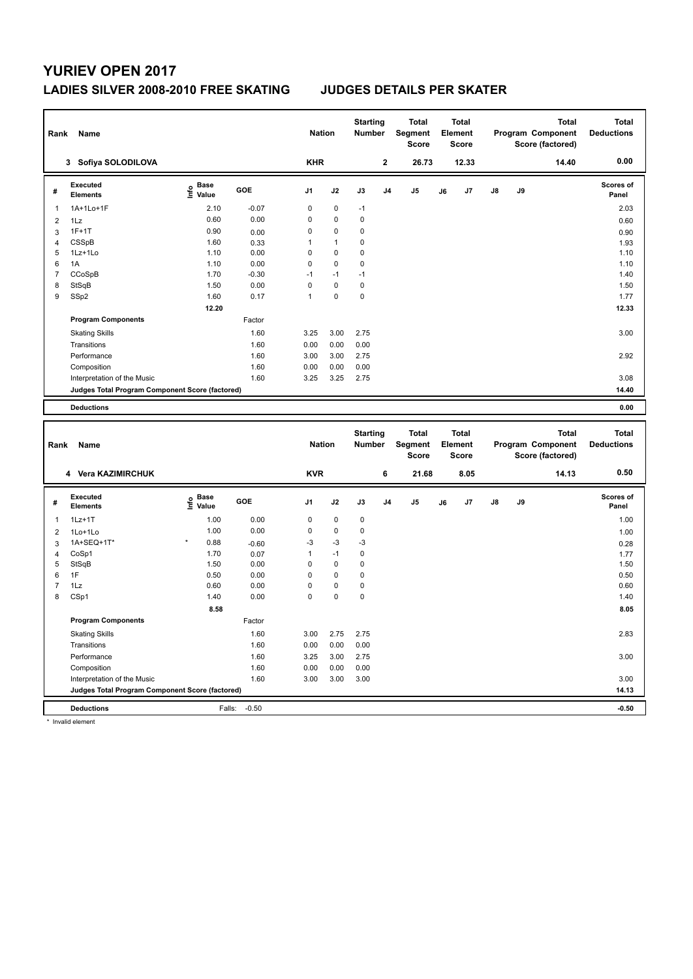## **YURIEV OPEN 2017**

### **LADIES SILVER 2008-2010 FREE SKATING JUDGES DETAILS PER SKATER**

| Rank           | Name                                            |                   |              | <b>Nation</b> |              | <b>Starting</b><br><b>Number</b> |                | <b>Total</b><br>Segment<br><b>Score</b> |    | <b>Total</b><br>Element<br>Score        |    |    | <b>Total</b><br>Program Component<br>Score (factored) | <b>Total</b><br><b>Deductions</b> |
|----------------|-------------------------------------------------|-------------------|--------------|---------------|--------------|----------------------------------|----------------|-----------------------------------------|----|-----------------------------------------|----|----|-------------------------------------------------------|-----------------------------------|
|                | 3 Sofiya SOLODILOVA                             |                   |              | <b>KHR</b>    |              |                                  | $\mathbf 2$    | 26.73                                   |    | 12.33                                   |    |    | 14.40                                                 | 0.00                              |
| #              | <b>Executed</b><br><b>Elements</b>              | e Base<br>E Value | GOE          | J1            | J2           | J3                               | J <sub>4</sub> | J5                                      | J6 | J <sub>7</sub>                          | J8 | J9 |                                                       | Scores of<br>Panel                |
| $\mathbf{1}$   | 1A+1Lo+1F                                       | 2.10              | $-0.07$      | $\mathbf 0$   | $\mathbf 0$  | $-1$                             |                |                                         |    |                                         |    |    |                                                       | 2.03                              |
| $\overline{2}$ | 1Lz                                             | 0.60              | 0.00         | $\mathbf 0$   | $\mathbf 0$  | $\mathbf 0$                      |                |                                         |    |                                         |    |    |                                                       | 0.60                              |
| 3              | $1F+1T$                                         | 0.90              | 0.00         | 0             | $\mathbf 0$  | $\mathbf 0$                      |                |                                         |    |                                         |    |    |                                                       | 0.90                              |
| $\overline{4}$ | CSSpB                                           | 1.60              | 0.33         | $\mathbf{1}$  | $\mathbf{1}$ | $\mathbf 0$                      |                |                                         |    |                                         |    |    |                                                       | 1.93                              |
| 5              | 1Lz+1Lo                                         | 1.10              | 0.00         | $\mathbf 0$   | $\mathbf 0$  | $\mathbf 0$                      |                |                                         |    |                                         |    |    |                                                       | 1.10                              |
| 6              | 1A                                              | 1.10              | 0.00         | $\mathbf 0$   | $\pmb{0}$    | $\mathbf 0$                      |                |                                         |    |                                         |    |    |                                                       | 1.10                              |
| $\overline{7}$ | CCoSpB                                          | 1.70              | $-0.30$      | $-1$          | $-1$         | $-1$                             |                |                                         |    |                                         |    |    |                                                       | 1.40                              |
| 8              | StSqB                                           | 1.50              | 0.00         | $\mathbf 0$   | $\pmb{0}$    | $\pmb{0}$                        |                |                                         |    |                                         |    |    |                                                       | 1.50                              |
| 9              | SSp2                                            | 1.60              | 0.17         | $\mathbf{1}$  | $\mathbf 0$  | $\mathbf 0$                      |                |                                         |    |                                         |    |    |                                                       | 1.77                              |
|                |                                                 | 12.20             |              |               |              |                                  |                |                                         |    |                                         |    |    |                                                       | 12.33                             |
|                | <b>Program Components</b>                       |                   | Factor       |               |              |                                  |                |                                         |    |                                         |    |    |                                                       |                                   |
|                | <b>Skating Skills</b>                           |                   | 1.60         | 3.25          | 3.00         | 2.75                             |                |                                         |    |                                         |    |    |                                                       | 3.00                              |
|                | Transitions                                     |                   | 1.60         | 0.00          | 0.00         | 0.00                             |                |                                         |    |                                         |    |    |                                                       |                                   |
|                | Performance                                     |                   | 1.60         | 3.00          | 3.00         | 2.75                             |                |                                         |    |                                         |    |    |                                                       | 2.92                              |
|                | Composition                                     |                   | 1.60         | 0.00          | 0.00         | 0.00                             |                |                                         |    |                                         |    |    |                                                       |                                   |
|                | Interpretation of the Music                     |                   | 1.60         | 3.25          | 3.25         | 2.75                             |                |                                         |    |                                         |    |    |                                                       | 3.08                              |
|                | Judges Total Program Component Score (factored) |                   |              |               |              |                                  |                |                                         |    |                                         |    |    |                                                       | 14.40                             |
|                |                                                 |                   |              |               |              |                                  |                |                                         |    |                                         |    |    |                                                       |                                   |
|                | <b>Deductions</b>                               |                   |              |               |              |                                  |                |                                         |    |                                         |    |    |                                                       | 0.00                              |
|                |                                                 |                   |              |               |              |                                  |                |                                         |    |                                         |    |    |                                                       |                                   |
| Rank           | Name                                            |                   |              | <b>Nation</b> |              | <b>Starting</b><br><b>Number</b> |                | <b>Total</b><br>Segment<br>Score        |    | <b>Total</b><br>Element<br><b>Score</b> |    |    | <b>Total</b><br>Program Component<br>Score (factored) | <b>Total</b><br><b>Deductions</b> |
|                | 4 Vera KAZIMIRCHUK                              |                   |              | <b>KVR</b>    |              |                                  | 6              | 21.68                                   |    | 8.05                                    |    |    | 14.13                                                 | 0.50                              |
| #              | <b>Executed</b><br><b>Elements</b>              | e Base<br>E Value | <b>GOE</b>   | J1            | J2           | J3                               | J <sub>4</sub> | J5                                      | J6 | J7                                      | J8 | J9 |                                                       | <b>Scores of</b><br>Panel         |
| 1              | $1Lz+1T$                                        | 1.00              | 0.00         | $\mathbf 0$   | $\pmb{0}$    | 0                                |                |                                         |    |                                         |    |    |                                                       | 1.00                              |
| $\overline{2}$ | 1Lo+1Lo                                         | 1.00              | 0.00         | $\mathbf 0$   | $\pmb{0}$    | $\mathbf 0$                      |                |                                         |    |                                         |    |    |                                                       | 1.00                              |
| 3              | 1A+SEQ+1T*                                      | 0.88              | $-0.60$      | -3            | $-3$         | $-3$                             |                |                                         |    |                                         |    |    |                                                       |                                   |
| $\overline{4}$ | CoSp1                                           | 1.70              | 0.07         | $\mathbf{1}$  | $-1$         | $\mathbf 0$                      |                |                                         |    |                                         |    |    |                                                       | 0.28                              |
| 5              | StSqB                                           | 1.50              | 0.00         | $\mathbf 0$   | $\mathbf 0$  | $\mathbf 0$                      |                |                                         |    |                                         |    |    |                                                       | 1.77<br>1.50                      |
| 6              | 1F                                              | 0.50              | 0.00         | $\mathbf 0$   | $\pmb{0}$    | $\mathbf 0$                      |                |                                         |    |                                         |    |    |                                                       | 0.50                              |
| $\overline{7}$ | 1Lz                                             | 0.60              | 0.00         | $\mathbf 0$   | $\mathbf 0$  | $\mathbf 0$                      |                |                                         |    |                                         |    |    |                                                       | 0.60                              |
| 8              | CSp1                                            | 1.40              | 0.00         | $\mathbf 0$   | $\mathbf 0$  | $\mathbf 0$                      |                |                                         |    |                                         |    |    |                                                       | 1.40                              |
|                |                                                 | 8.58              |              |               |              |                                  |                |                                         |    |                                         |    |    |                                                       | 8.05                              |
|                | <b>Program Components</b>                       |                   | Factor       |               |              |                                  |                |                                         |    |                                         |    |    |                                                       |                                   |
|                |                                                 |                   |              |               |              |                                  |                |                                         |    |                                         |    |    |                                                       |                                   |
|                | <b>Skating Skills</b>                           |                   | 1.60         | 3.00          | 2.75         | 2.75                             |                |                                         |    |                                         |    |    |                                                       | 2.83                              |
|                | Transitions                                     |                   | 1.60         | 0.00          | 0.00         | 0.00                             |                |                                         |    |                                         |    |    |                                                       |                                   |
|                | Performance<br>Composition                      |                   | 1.60<br>1.60 | 3.25<br>0.00  | 3.00<br>0.00 | 2.75<br>0.00                     |                |                                         |    |                                         |    |    |                                                       | 3.00                              |

**Deductions** Falls: -0.50 **-0.50 Judges Total Program Component Score (factored) 14.13**

\* Invalid element